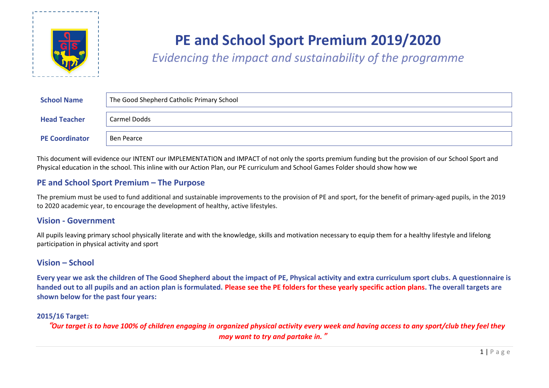

# **PE and School Sport Premium 2019/2020**

*Evidencing the impact and sustainability of the programme*

| <b>School Name</b>    | The Good Shepherd Catholic Primary School |
|-----------------------|-------------------------------------------|
| <b>Head Teacher</b>   | Carmel Dodds                              |
| <b>PE Coordinator</b> | Ben Pearce                                |

This document will evidence our INTENT our IMPLEMENTATION and IMPACT of not only the sports premium funding but the provision of our School Sport and Physical education in the school. This inline with our Action Plan, our PE curriculum and School Games Folder should show how we

## **PE and School Sport Premium – The Purpose**

The premium must be used to fund additional and sustainable improvements to the provision of PE and sport, for the benefit of primary-aged pupils, in the 2019 to 2020 academic year, to encourage the development of healthy, active lifestyles.

## **Vision - Government**

All pupils leaving primary school physically literate and with the knowledge, skills and motivation necessary to equip them for a healthy lifestyle and lifelong participation in physical activity and sport

## **Vision – School**

**Every year we ask the children of The Good Shepherd about the impact of PE, Physical activity and extra curriculum sport clubs. A questionnaire is handed out to all pupils and an action plan is formulated. Please see the PE folders for these yearly specific action plans. The overall targets are shown below for the past four years:**

## **2015/16 Target:**

"*Our target is to have 100% of children engaging in organized physical activity every week and having access to any sport/club they feel they may want to try and partake in.*"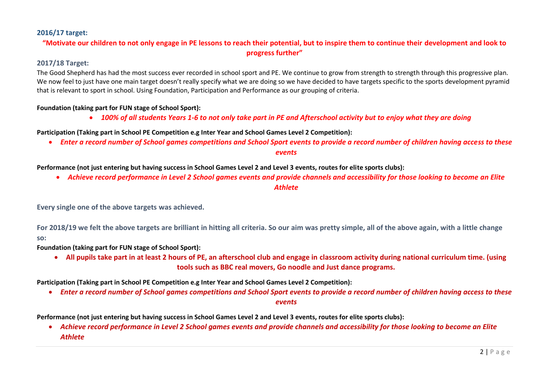## **2016/17 target:**

## **"Motivate our children to not only engage in PE lessons to reach their potential, but to inspire them to continue their development and look to progress further"**

### **2017/18 Target:**

The Good Shepherd has had the most success ever recorded in school sport and PE. We continue to grow from strength to strength through this progressive plan. We now feel to just have one main target doesn't really specify what we are doing so we have decided to have targets specific to the sports development pyramid that is relevant to sport in school. Using Foundation, Participation and Performance as our grouping of criteria.

#### **Foundation (taking part for FUN stage of School Sport):**

*100% of all students Years 1-6 to not only take part in PE and Afterschool activity but to enjoy what they are doing*

**Participation (Taking part in School PE Competition e.g Inter Year and School Games Level 2 Competition):**

*Enter a record number of School games competitions and School Sport events to provide a record number of children having access to these* 

*events*

**Performance (not just entering but having success in School Games Level 2 and Level 3 events, routes for elite sports clubs):**

 *Achieve record performance in Level 2 School games events and provide channels and accessibility for those looking to become an Elite Athlete*

**Every single one of the above targets was achieved.** 

**For 2018/19 we felt the above targets are brilliant in hitting all criteria. So our aim was pretty simple, all of the above again, with a little change so:**

**Foundation (taking part for FUN stage of School Sport):**

 **All pupils take part in at least 2 hours of PE, an afterschool club and engage in classroom activity during national curriculum time. (using tools such as BBC real movers, Go noodle and Just dance programs.**

**Participation (Taking part in School PE Competition e.g Inter Year and School Games Level 2 Competition):**

*Enter a record number of School games competitions and School Sport events to provide a record number of children having access to these* 

*events*

**Performance (not just entering but having success in School Games Level 2 and Level 3 events, routes for elite sports clubs):**

 *Achieve record performance in Level 2 School games events and provide channels and accessibility for those looking to become an Elite Athlete*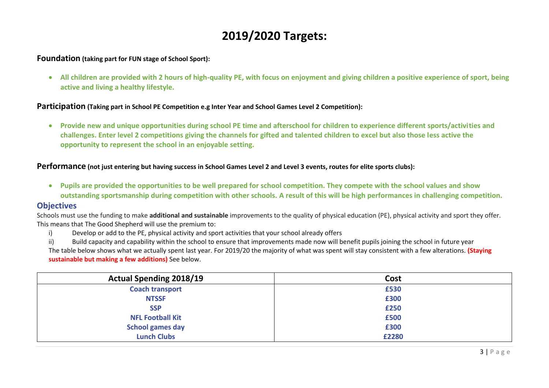## **2019/2020 Targets:**

## **Foundation (taking part for FUN stage of School Sport):**

 **All children are provided with 2 hours of high-quality PE, with focus on enjoyment and giving children a positive experience of sport, being active and living a healthy lifestyle.**

## **Participation (Taking part in School PE Competition e.g Inter Year and School Games Level 2 Competition):**

 **Provide new and unique opportunities during school PE time and afterschool for children to experience different sports/activities and challenges. Enter level 2 competitions giving the channels for gifted and talented children to excel but also those less active the opportunity to represent the school in an enjoyable setting.**

## **Performance (not just entering but having success in School Games Level 2 and Level 3 events, routes for elite sports clubs):**

 **Pupils are provided the opportunities to be well prepared for school competition. They compete with the school values and show outstanding sportsmanship during competition with other schools. A result of this will be high performances in challenging competition.**

## **Objectives**

Schools must use the funding to make **additional and sustainable** improvements to the quality of physical education (PE), physical activity and sport they offer. This means that The Good Shepherd will use the premium to:

i) Develop or add to the PE, physical activity and sport activities that your school already offers

ii) Build capacity and capability within the school to ensure that improvements made now will benefit pupils joining the school in future year The table below shows what we actually spent last year. For 2019/20 the majority of what was spent will stay consistent with a few alterations. **(Staying sustainable but making a few additions)** See below.

| <b>Actual Spending 2018/19</b> | Cost  |
|--------------------------------|-------|
| <b>Coach transport</b>         | £530  |
| <b>NTSSF</b>                   | £300  |
| <b>SSP</b>                     | £250  |
| <b>NFL Football Kit</b>        | £500  |
| <b>School games day</b>        | £300  |
| <b>Lunch Clubs</b>             | £2280 |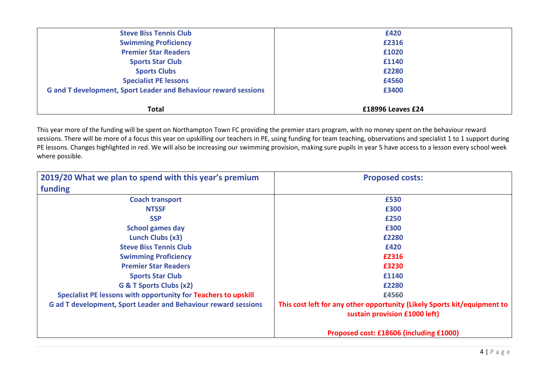| <b>Steve Biss Tennis Club</b>                                          | £420              |  |
|------------------------------------------------------------------------|-------------------|--|
| <b>Swimming Proficiency</b>                                            | £2316             |  |
| <b>Premier Star Readers</b>                                            | £1020             |  |
| <b>Sports Star Club</b>                                                | £1140             |  |
| <b>Sports Clubs</b>                                                    | £2280             |  |
| <b>Specialist PE lessons</b>                                           | £4560             |  |
| <b>G and T development, Sport Leader and Behaviour reward sessions</b> | £3400             |  |
|                                                                        |                   |  |
| <b>Total</b>                                                           | £18996 Leaves £24 |  |

This year more of the funding will be spent on Northampton Town FC providing the premier stars program, with no money spent on the behaviour reward sessions. There will be more of a focus this year on upskilling our teachers in PE, using funding for team teaching, observations and specialist 1 to 1 support during PE lessons. Changes highlighted in red. We will also be increasing our swimming provision, making sure pupils in year 5 have access to a lesson every school week where possible.

| 2019/20 What we plan to spend with this year's premium                | <b>Proposed costs:</b>                                                                                    |
|-----------------------------------------------------------------------|-----------------------------------------------------------------------------------------------------------|
| funding                                                               |                                                                                                           |
| <b>Coach transport</b>                                                | £530                                                                                                      |
| <b>NTSSF</b>                                                          | £300                                                                                                      |
| <b>SSP</b>                                                            | £250                                                                                                      |
| <b>School games day</b>                                               | £300                                                                                                      |
| Lunch Clubs (x3)                                                      | £2280                                                                                                     |
| <b>Steve Biss Tennis Club</b>                                         | £420                                                                                                      |
| <b>Swimming Proficiency</b>                                           | £2316                                                                                                     |
| <b>Premier Star Readers</b>                                           | £3230                                                                                                     |
| <b>Sports Star Club</b>                                               | £1140                                                                                                     |
| G & T Sports Clubs (x2)                                               | £2280                                                                                                     |
| Specialist PE lessons with opportunity for Teachers to upskill        | £4560                                                                                                     |
| <b>G ad T development, Sport Leader and Behaviour reward sessions</b> | This cost left for any other opportunity (Likely Sports kit/equipment to<br>sustain provision £1000 left) |
|                                                                       | Proposed cost: £18606 (including £1000)                                                                   |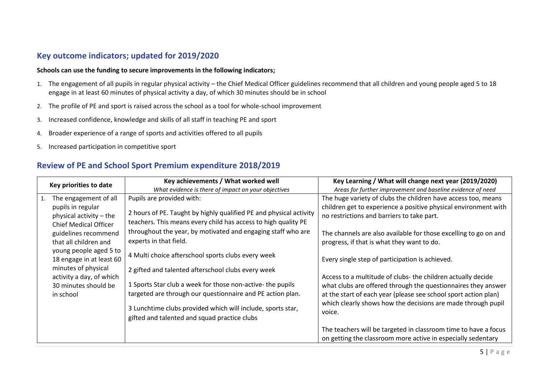## **Key outcome indicators; updated for 2019/2020**

#### **Schools can use the funding to secure improvements in the following indicators;**

- 1. The engagement of all pupils in regular physical activity the Chief Medical Officer guidelines recommend that all children and young people aged 5 to 18 engage in at least 60 minutes of physical activity a day, of which 30 minutes should be in school
- 2. The profile of PE and sport is raised across the school as a tool for whole-school improvement
- 3. Increased confidence, knowledge and skills of all staff in teaching PE and sport
- 4. Broader experience of a range of sports and activities offered to all pupils
- 5. Increased participation in competitive sport

## **Review of PE and School Sport Premium expenditure 2018/2019**

| Key priorities to date |                                                                                                 | Key achievements / What worked well                                                                                                  | Key Learning / What will change next year (2019/2020)                                                                            |  |  |
|------------------------|-------------------------------------------------------------------------------------------------|--------------------------------------------------------------------------------------------------------------------------------------|----------------------------------------------------------------------------------------------------------------------------------|--|--|
|                        |                                                                                                 | What evidence is there of impact on your objectives                                                                                  | Areas for further improvement and baseline evidence of need                                                                      |  |  |
| 1.                     | The engagement of all                                                                           | Pupils are provided with:                                                                                                            | The huge variety of clubs the children have access too, means                                                                    |  |  |
|                        | pupils in regular<br>physical activity – the<br><b>Chief Medical Officer</b>                    | 2 hours of PE. Taught by highly qualified PE and physical activity<br>teachers. This means every child has access to high quality PE | children get to experience a positive physical environment with<br>no restrictions and barriers to take part.                    |  |  |
|                        | guidelines recommend<br>that all children and                                                   | throughout the year, by motivated and engaging staff who are<br>experts in that field.                                               | The channels are also available for those excelling to go on and<br>progress, if that is what they want to do.                   |  |  |
|                        | young people aged 5 to<br>18 engage in at least 60                                              | 4 Multi choice afterschool sports clubs every week                                                                                   | Every single step of participation is achieved.                                                                                  |  |  |
|                        | minutes of physical<br>activity a day, of which                                                 | 2 gifted and talented afterschool clubs every week                                                                                   | Access to a multitude of clubs- the children actually decide                                                                     |  |  |
|                        | 1 Sports Star club a week for those non-active- the pupils<br>30 minutes should be<br>in school | targeted are through our questionnaire and PE action plan.                                                                           | what clubs are offered through the questionnaires they answer<br>at the start of each year (please see school sport action plan) |  |  |
|                        |                                                                                                 | 3 Lunchtime clubs provided which will include, sports star,<br>gifted and talented and squad practice clubs                          | which clearly shows how the decisions are made through pupil<br>voice.                                                           |  |  |
|                        |                                                                                                 |                                                                                                                                      | The teachers will be targeted in classroom time to have a focus<br>on getting the classroom more active in especially sedentary  |  |  |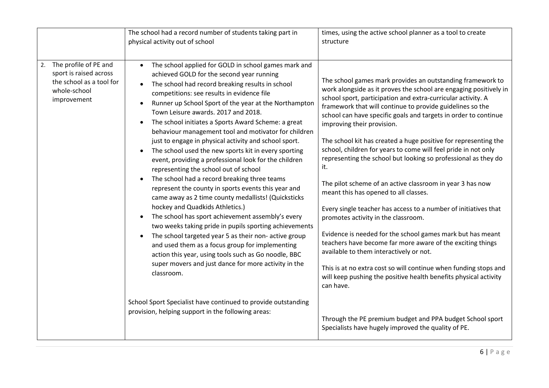| physical activity out of school<br>structure<br>The profile of PE and<br>The school applied for GOLD in school games mark and<br>2.<br>sport is raised across<br>achieved GOLD for the second year running<br>the school as a tool for<br>The school had record breaking results in school<br>$\bullet$<br>whole-school<br>competitions: see results in evidence file<br>improvement<br>Runner up School Sport of the year at the Northampton<br>Town Leisure awards. 2017 and 2018.                                                                                                                                                                                                                                                                                                                                                                                                                                                                                                                                                                          | times, using the active school planner as a tool to create                                                                                                                                                                                                                                                                                                                                                                                                                                                                                                                                                                                                                                                                                                                                                                                                                                                                                                                                                                                                                                                                                                                                                              |
|---------------------------------------------------------------------------------------------------------------------------------------------------------------------------------------------------------------------------------------------------------------------------------------------------------------------------------------------------------------------------------------------------------------------------------------------------------------------------------------------------------------------------------------------------------------------------------------------------------------------------------------------------------------------------------------------------------------------------------------------------------------------------------------------------------------------------------------------------------------------------------------------------------------------------------------------------------------------------------------------------------------------------------------------------------------|-------------------------------------------------------------------------------------------------------------------------------------------------------------------------------------------------------------------------------------------------------------------------------------------------------------------------------------------------------------------------------------------------------------------------------------------------------------------------------------------------------------------------------------------------------------------------------------------------------------------------------------------------------------------------------------------------------------------------------------------------------------------------------------------------------------------------------------------------------------------------------------------------------------------------------------------------------------------------------------------------------------------------------------------------------------------------------------------------------------------------------------------------------------------------------------------------------------------------|
|                                                                                                                                                                                                                                                                                                                                                                                                                                                                                                                                                                                                                                                                                                                                                                                                                                                                                                                                                                                                                                                               |                                                                                                                                                                                                                                                                                                                                                                                                                                                                                                                                                                                                                                                                                                                                                                                                                                                                                                                                                                                                                                                                                                                                                                                                                         |
|                                                                                                                                                                                                                                                                                                                                                                                                                                                                                                                                                                                                                                                                                                                                                                                                                                                                                                                                                                                                                                                               |                                                                                                                                                                                                                                                                                                                                                                                                                                                                                                                                                                                                                                                                                                                                                                                                                                                                                                                                                                                                                                                                                                                                                                                                                         |
| The school initiates a Sports Award Scheme: a great<br>$\bullet$<br>behaviour management tool and motivator for children<br>just to engage in physical activity and school sport.<br>The school used the new sports kit in every sporting<br>event, providing a professional look for the children<br>it.<br>representing the school out of school<br>The school had a record breaking three teams<br>represent the county in sports events this year and<br>came away as 2 time county medallists! (Quicksticks<br>hockey and Quadkids Athletics.)<br>The school has sport achievement assembly's every<br>two weeks taking pride in pupils sporting achievements<br>The school targeted year 5 as their non- active group<br>$\bullet$<br>and used them as a focus group for implementing<br>action this year, using tools such as Go noodle, BBC<br>super movers and just dance for more activity in the<br>classroom.<br>can have.<br>School Sport Specialist have continued to provide outstanding<br>provision, helping support in the following areas: | The school games mark provides an outstanding framework to<br>work alongside as it proves the school are engaging positively in<br>school sport, participation and extra-curricular activity. A<br>framework that will continue to provide guidelines so the<br>school can have specific goals and targets in order to continue<br>improving their provision.<br>The school kit has created a huge positive for representing the<br>school, children for years to come will feel pride in not only<br>representing the school but looking so professional as they do<br>The pilot scheme of an active classroom in year 3 has now<br>meant this has opened to all classes.<br>Every single teacher has access to a number of initiatives that<br>promotes activity in the classroom.<br>Evidence is needed for the school games mark but has meant<br>teachers have become far more aware of the exciting things<br>available to them interactively or not.<br>This is at no extra cost so will continue when funding stops and<br>will keep pushing the positive health benefits physical activity<br>Through the PE premium budget and PPA budget School sport<br>Specialists have hugely improved the quality of PE. |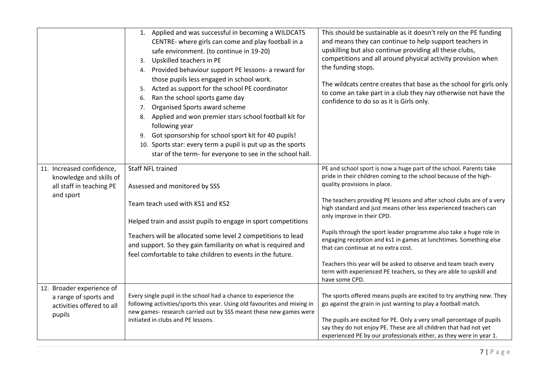|                                                      | 1. Applied and was successful in becoming a WILDCATS<br>CENTRE- where girls can come and play football in a<br>safe environment. (to continue in 19-20)<br>Upskilled teachers in PE<br>3.<br>4. Provided behaviour support PE lessons- a reward for<br>those pupils less engaged in school work.<br>Acted as support for the school PE coordinator<br>5.<br>Ran the school sports game day<br>6.<br>Organised Sports award scheme<br>7.<br>Applied and won premier stars school football kit for<br>8.<br>following year<br>Got sponsorship for school sport kit for 40 pupils!<br>9.<br>10. Sports star: every term a pupil is put up as the sports<br>star of the term- for everyone to see in the school hall. | This should be sustainable as it doesn't rely on the PE funding<br>and means they can continue to help support teachers in<br>upskilling but also continue providing all these clubs,<br>competitions and all around physical activity provision when<br>the funding stops.<br>The wildcats centre creates that base as the school for girls only<br>to come an take part in a club they nay otherwise not have the<br>confidence to do so as it is Girls only. |
|------------------------------------------------------|-------------------------------------------------------------------------------------------------------------------------------------------------------------------------------------------------------------------------------------------------------------------------------------------------------------------------------------------------------------------------------------------------------------------------------------------------------------------------------------------------------------------------------------------------------------------------------------------------------------------------------------------------------------------------------------------------------------------|-----------------------------------------------------------------------------------------------------------------------------------------------------------------------------------------------------------------------------------------------------------------------------------------------------------------------------------------------------------------------------------------------------------------------------------------------------------------|
| 11. Increased confidence,<br>knowledge and skills of | Staff NFL trained                                                                                                                                                                                                                                                                                                                                                                                                                                                                                                                                                                                                                                                                                                 | PE and school sport is now a huge part of the school. Parents take<br>pride in their children coming to the school because of the high-                                                                                                                                                                                                                                                                                                                         |
| all staff in teaching PE                             | Assessed and monitored by SSS                                                                                                                                                                                                                                                                                                                                                                                                                                                                                                                                                                                                                                                                                     | quality provisions in place.                                                                                                                                                                                                                                                                                                                                                                                                                                    |
| and sport                                            | Team teach used with KS1 and KS2                                                                                                                                                                                                                                                                                                                                                                                                                                                                                                                                                                                                                                                                                  | The teachers providing PE lessons and after school clubs are of a very<br>high standard and just means other less experienced teachers can                                                                                                                                                                                                                                                                                                                      |
|                                                      | Helped train and assist pupils to engage in sport competitions                                                                                                                                                                                                                                                                                                                                                                                                                                                                                                                                                                                                                                                    | only improve in their CPD.                                                                                                                                                                                                                                                                                                                                                                                                                                      |
|                                                      | Teachers will be allocated some level 2 competitions to lead<br>and support. So they gain familiarity on what is required and<br>feel comfortable to take children to events in the future.                                                                                                                                                                                                                                                                                                                                                                                                                                                                                                                       | Pupils through the sport leader programme also take a huge role in<br>engaging reception and ks1 in games at lunchtimes. Something else<br>that can continue at no extra cost.                                                                                                                                                                                                                                                                                  |
|                                                      |                                                                                                                                                                                                                                                                                                                                                                                                                                                                                                                                                                                                                                                                                                                   | Teachers this year will be asked to observe and team teach every<br>term with experienced PE teachers, so they are able to upskill and<br>have some CPD.                                                                                                                                                                                                                                                                                                        |
| 12. Broader experience of<br>a range of sports and   | Every single pupil in the school had a chance to experience the                                                                                                                                                                                                                                                                                                                                                                                                                                                                                                                                                                                                                                                   | The sports offered means pupils are excited to try anything new. They                                                                                                                                                                                                                                                                                                                                                                                           |
| activities offered to all                            | following activities/sports this year. Using old favourites and mixing in<br>new games- research carried out by SSS meant these new games were                                                                                                                                                                                                                                                                                                                                                                                                                                                                                                                                                                    | go against the grain in just wanting to play a football match.                                                                                                                                                                                                                                                                                                                                                                                                  |
| pupils                                               | initiated in clubs and PE lessons.                                                                                                                                                                                                                                                                                                                                                                                                                                                                                                                                                                                                                                                                                | The pupils are excited for PE. Only a very small percentage of pupils<br>say they do not enjoy PE. These are all children that had not yet<br>experienced PE by our professionals either, as they were in year 1.                                                                                                                                                                                                                                               |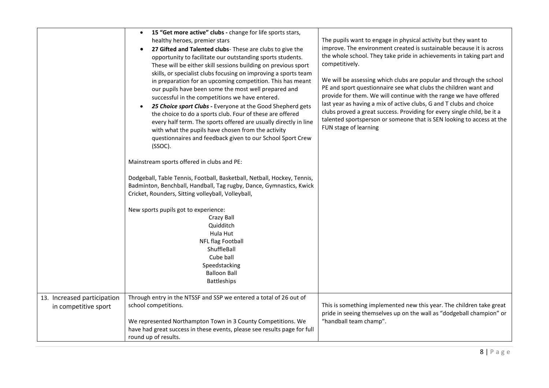|                                                     | 15 "Get more active" clubs - change for life sports stars,<br>$\bullet$<br>healthy heroes, premier stars<br>27 Gifted and Talented clubs- These are clubs to give the<br>$\bullet$<br>opportunity to facilitate our outstanding sports students.<br>These will be either skill sessions building on previous sport<br>skills, or specialist clubs focusing on improving a sports team<br>in preparation for an upcoming competition. This has meant<br>our pupils have been some the most well prepared and<br>successful in the competitions we have entered.<br>25 Choice sport Clubs - Everyone at the Good Shepherd gets<br>the choice to do a sports club. Four of these are offered<br>every half term. The sports offered are usually directly in line<br>with what the pupils have chosen from the activity<br>questionnaires and feedback given to our School Sport Crew<br>(SSOC).<br>Mainstream sports offered in clubs and PE:<br>Dodgeball, Table Tennis, Football, Basketball, Netball, Hockey, Tennis,<br>Badminton, Benchball, Handball, Tag rugby, Dance, Gymnastics, Kwick<br>Cricket, Rounders, Sitting volleyball, Volleyball,<br>New sports pupils got to experience:<br>Crazy Ball<br>Quidditch<br>Hula Hut<br><b>NFL flag Football</b><br>ShuffleBall<br>Cube ball<br>Speedstacking<br><b>Balloon Ball</b><br>Battleships | The pupils want to engage in physical activity but they want to<br>improve. The environment created is sustainable because it is across<br>the whole school. They take pride in achievements in taking part and<br>competitively.<br>We will be assessing which clubs are popular and through the school<br>PE and sport questionnaire see what clubs the children want and<br>provide for them. We will continue with the range we have offered<br>last year as having a mix of active clubs, G and T clubs and choice<br>clubs proved a great success. Providing for every single child, be it a<br>talented sportsperson or someone that is SEN looking to access at the<br>FUN stage of learning |
|-----------------------------------------------------|--------------------------------------------------------------------------------------------------------------------------------------------------------------------------------------------------------------------------------------------------------------------------------------------------------------------------------------------------------------------------------------------------------------------------------------------------------------------------------------------------------------------------------------------------------------------------------------------------------------------------------------------------------------------------------------------------------------------------------------------------------------------------------------------------------------------------------------------------------------------------------------------------------------------------------------------------------------------------------------------------------------------------------------------------------------------------------------------------------------------------------------------------------------------------------------------------------------------------------------------------------------------------------------------------------------------------------------------------|------------------------------------------------------------------------------------------------------------------------------------------------------------------------------------------------------------------------------------------------------------------------------------------------------------------------------------------------------------------------------------------------------------------------------------------------------------------------------------------------------------------------------------------------------------------------------------------------------------------------------------------------------------------------------------------------------|
| 13. Increased participation<br>in competitive sport | Through entry in the NTSSF and SSP we entered a total of 26 out of<br>school competitions.<br>We represented Northampton Town in 3 County Competitions. We<br>have had great success in these events, please see results page for full<br>round up of results.                                                                                                                                                                                                                                                                                                                                                                                                                                                                                                                                                                                                                                                                                                                                                                                                                                                                                                                                                                                                                                                                                   | This is something implemented new this year. The children take great<br>pride in seeing themselves up on the wall as "dodgeball champion" or<br>"handball team champ".                                                                                                                                                                                                                                                                                                                                                                                                                                                                                                                               |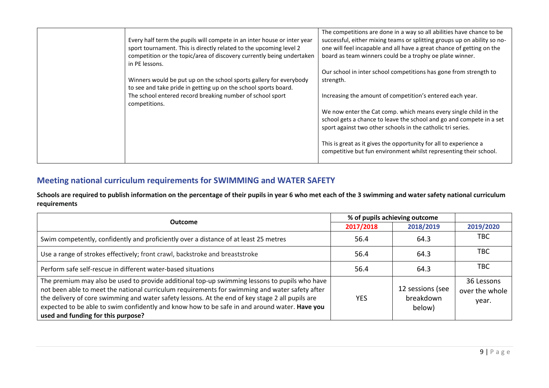| Every half term the pupils will compete in an inter house or inter year<br>sport tournament. This is directly related to the upcoming level 2<br>competition or the topic/area of discovery currently being undertaken<br>in PE lessons.<br>Winners would be put up on the school sports gallery for everybody | The competitions are done in a way so all abilities have chance to be<br>successful, either mixing teams or splitting groups up on ability so no-<br>one will feel incapable and all have a great chance of getting on the<br>board as team winners could be a trophy oe plate winner.<br>Our school in inter school competitions has gone from strength to<br>strength. |
|----------------------------------------------------------------------------------------------------------------------------------------------------------------------------------------------------------------------------------------------------------------------------------------------------------------|--------------------------------------------------------------------------------------------------------------------------------------------------------------------------------------------------------------------------------------------------------------------------------------------------------------------------------------------------------------------------|
| to see and take pride in getting up on the school sports board.<br>The school entered record breaking number of school sport<br>competitions.                                                                                                                                                                  | Increasing the amount of competition's entered each year.<br>We now enter the Cat comp. which means every single child in the                                                                                                                                                                                                                                            |
|                                                                                                                                                                                                                                                                                                                | school gets a chance to leave the school and go and compete in a set<br>sport against two other schools in the catholic tri series.                                                                                                                                                                                                                                      |
|                                                                                                                                                                                                                                                                                                                | This is great as it gives the opportunity for all to experience a<br>competitive but fun environment whilst representing their school.                                                                                                                                                                                                                                   |

## **Meeting national curriculum requirements for SWIMMING and WATER SAFETY**

**Schools are required to publish information on the percentage of their pupils in year 6 who met each of the 3 swimming and water safety national curriculum requirements**

| Outcome                                                                                                                                                                                                                                                                                                                                                                                                                                    | % of pupils achieving outcome |                                         |                                       |
|--------------------------------------------------------------------------------------------------------------------------------------------------------------------------------------------------------------------------------------------------------------------------------------------------------------------------------------------------------------------------------------------------------------------------------------------|-------------------------------|-----------------------------------------|---------------------------------------|
|                                                                                                                                                                                                                                                                                                                                                                                                                                            | 2017/2018                     | 2018/2019                               | 2019/2020                             |
| Swim competently, confidently and proficiently over a distance of at least 25 metres                                                                                                                                                                                                                                                                                                                                                       | 56.4                          | 64.3                                    | твс                                   |
| Use a range of strokes effectively; front crawl, backstroke and breaststroke                                                                                                                                                                                                                                                                                                                                                               | 56.4                          | 64.3                                    | TBC                                   |
| Perform safe self-rescue in different water-based situations                                                                                                                                                                                                                                                                                                                                                                               | 56.4                          | 64.3                                    | TBC                                   |
| The premium may also be used to provide additional top-up swimming lessons to pupils who have<br>not been able to meet the national curriculum requirements for swimming and water safety after<br>the delivery of core swimming and water safety lessons. At the end of key stage 2 all pupils are<br>expected to be able to swim confidently and know how to be safe in and around water. Have you<br>used and funding for this purpose? | YES                           | 12 sessions (see<br>breakdown<br>below) | 36 Lessons<br>over the whole<br>year. |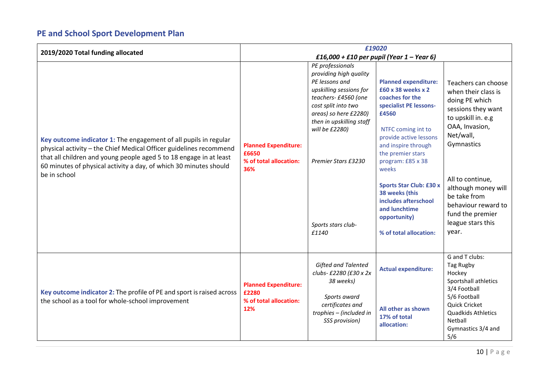## **PE and School Sport Development Plan**

| 2019/2020 Total funding allocated                                                                                                                                                                                                                                                                 | £19020                                                                |                                                                                                                                                                                                                                      |                                                                                                                                                                                                                                                                                                                                                |                                                                                                                                                                                                                                                             |
|---------------------------------------------------------------------------------------------------------------------------------------------------------------------------------------------------------------------------------------------------------------------------------------------------|-----------------------------------------------------------------------|--------------------------------------------------------------------------------------------------------------------------------------------------------------------------------------------------------------------------------------|------------------------------------------------------------------------------------------------------------------------------------------------------------------------------------------------------------------------------------------------------------------------------------------------------------------------------------------------|-------------------------------------------------------------------------------------------------------------------------------------------------------------------------------------------------------------------------------------------------------------|
|                                                                                                                                                                                                                                                                                                   | £16,000 + £10 per pupil (Year $1 -$ Year 6)                           |                                                                                                                                                                                                                                      |                                                                                                                                                                                                                                                                                                                                                |                                                                                                                                                                                                                                                             |
| Key outcome indicator 1: The engagement of all pupils in regular<br>physical activity - the Chief Medical Officer guidelines recommend<br>that all children and young people aged 5 to 18 engage in at least<br>60 minutes of physical activity a day, of which 30 minutes should<br>be in school | <b>Planned Expenditure:</b><br>£6650<br>% of total allocation:<br>36% | PE professionals<br>providing high quality<br>PE lessons and<br>upskilling sessions for<br>teachers- £4560 (one<br>cost split into two<br>areas) so here £2280)<br>then in upskilling staff<br>will be £2280)<br>Premier Stars £3230 | <b>Planned expenditure:</b><br>£60 x 38 weeks x 2<br>coaches for the<br>specialist PE lessons-<br>£4560<br>NTFC coming int to<br>provide active lessons<br>and inspire through<br>the premier stars<br>program: £85 x 38<br>weeks<br><b>Sports Star Club: £30 x</b><br>38 weeks (this<br>includes afterschool<br>and lunchtime<br>opportunity) | Teachers can choose<br>when their class is<br>doing PE which<br>sessions they want<br>to upskill in. e.g<br>OAA, Invasion,<br>Net/wall,<br>Gymnastics<br>All to continue,<br>although money will<br>be take from<br>behaviour reward to<br>fund the premier |
|                                                                                                                                                                                                                                                                                                   |                                                                       | Sports stars club-<br>£1140                                                                                                                                                                                                          | % of total allocation:                                                                                                                                                                                                                                                                                                                         | league stars this<br>year.                                                                                                                                                                                                                                  |
|                                                                                                                                                                                                                                                                                                   |                                                                       |                                                                                                                                                                                                                                      |                                                                                                                                                                                                                                                                                                                                                | G and T clubs:                                                                                                                                                                                                                                              |
| Key outcome indicator 2: The profile of PE and sport is raised across                                                                                                                                                                                                                             | <b>Planned Expenditure:</b><br>£2280                                  | <b>Gifted and Talented</b><br>clubs-£2280 (£30 x 2x<br>38 weeks)                                                                                                                                                                     | <b>Actual expenditure:</b>                                                                                                                                                                                                                                                                                                                     | Tag Rugby<br>Hockey<br>Sportshall athletics<br>3/4 Football                                                                                                                                                                                                 |
| the school as a tool for whole-school improvement                                                                                                                                                                                                                                                 | % of total allocation:<br>12%                                         | Sports award<br>certificates and<br>trophies - (included in<br>SSS provision)                                                                                                                                                        | All other as shown<br>17% of total<br>allocation:                                                                                                                                                                                                                                                                                              | 5/6 Football<br><b>Quick Cricket</b><br>Quadkids Athletics<br>Netball<br>Gymnastics 3/4 and<br>5/6                                                                                                                                                          |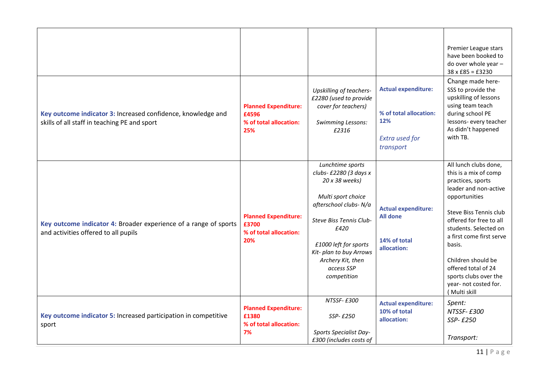|                                                                                                              |                                                                       |                                                                                                                                                                                                                                                      |                                                                                                   | Premier League stars<br>have been booked to<br>do over whole year -<br>$38 \times £85 = £3230$                                                                                                                                                                                                                                                   |
|--------------------------------------------------------------------------------------------------------------|-----------------------------------------------------------------------|------------------------------------------------------------------------------------------------------------------------------------------------------------------------------------------------------------------------------------------------------|---------------------------------------------------------------------------------------------------|--------------------------------------------------------------------------------------------------------------------------------------------------------------------------------------------------------------------------------------------------------------------------------------------------------------------------------------------------|
| Key outcome indicator 3: Increased confidence, knowledge and<br>skills of all staff in teaching PE and sport | <b>Planned Expenditure:</b><br>£4596<br>% of total allocation:<br>25% | <b>Upskilling of teachers-</b><br>£2280 (used to provide<br>cover for teachers)<br><b>Swimming Lessons:</b><br>£2316                                                                                                                                 | <b>Actual expenditure:</b><br>% of total allocation:<br>12%<br><b>Extra used for</b><br>transport | Change made here-<br>SSS to provide the<br>upskilling of lessons<br>using team teach<br>during school PE<br>lessons- every teacher<br>As didn't happened<br>with TB.                                                                                                                                                                             |
| Key outcome indicator 4: Broader experience of a range of sports<br>and activities offered to all pupils     | <b>Planned Expenditure:</b><br>£3700<br>% of total allocation:<br>20% | Lunchtime sports<br>clubs- £2280 (3 days x<br>20 x 38 weeks)<br>Multi sport choice<br>afterschool clubs-N/a<br>Steve Biss Tennis Club-<br>£420<br>£1000 left for sports<br>Kit- plan to buy Arrows<br>Archery Kit, then<br>access SSP<br>competition | <b>Actual expenditure:</b><br><b>All done</b><br>14% of total<br>allocation:                      | All lunch clubs done,<br>this is a mix of comp<br>practices, sports<br>leader and non-active<br>opportunities<br>Steve Biss Tennis club<br>offered for free to all<br>students. Selected on<br>a first come first serve<br>basis.<br>Children should be<br>offered total of 24<br>sports clubs over the<br>year- not costed for.<br>(Multi skill |
| Key outcome indicator 5: Increased participation in competitive<br>sport                                     | <b>Planned Expenditure:</b><br>£1380<br>% of total allocation:<br>7%  | NTSSF-£300<br>SSP-£250<br>Sports Specialist Day-<br>£300 (includes costs of                                                                                                                                                                          | <b>Actual expenditure:</b><br>10% of total<br>allocation:                                         | Spent:<br>NTSSF-£300<br>SSP-£250<br>Transport:                                                                                                                                                                                                                                                                                                   |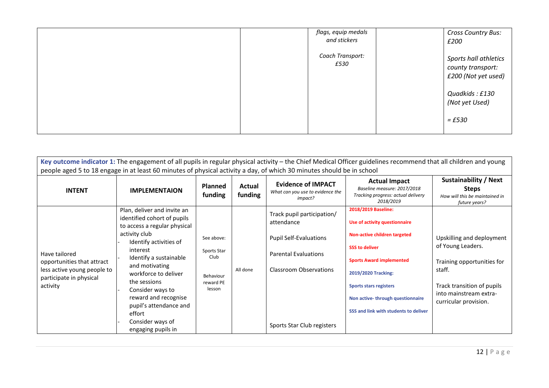| flags, equip medals<br>and stickers | Cross Country Bus:<br>£200                                                                            |
|-------------------------------------|-------------------------------------------------------------------------------------------------------|
| Coach Transport:<br>£530            | Sports hall athletics<br>county transport:<br>£200 (Not yet used)<br>Quadkids: £130<br>(Not yet Used) |
|                                     | $=$ £530                                                                                              |

| Key outcome indicator 1: The engagement of all pupils in regular physical activity - the Chief Medical Officer guidelines recommend that all children and young |
|-----------------------------------------------------------------------------------------------------------------------------------------------------------------|
| people aged 5 to 18 engage in at least 60 minutes of physical activity a day, of which 30 minutes should be in school                                           |

| <b>INTENT</b>                                                                                                     | <b>IMPLEMENTAION</b>                                                                                                                                                                                                                                                                                                                                            | <b>Planned</b><br>funding                                             | Actual<br>funding | <b>Evidence of IMPACT</b><br>What can you use to evidence the<br>impact?                                                                                         | <b>Actual Impact</b><br>Baseline measure: 2017/2018<br>Tracking progress: actual delivery<br>2018/2019                                                                                                                                                                                | Sustainability / Next<br><b>Steps</b><br>How will this be maintained in<br>future years?                                                                                |
|-------------------------------------------------------------------------------------------------------------------|-----------------------------------------------------------------------------------------------------------------------------------------------------------------------------------------------------------------------------------------------------------------------------------------------------------------------------------------------------------------|-----------------------------------------------------------------------|-------------------|------------------------------------------------------------------------------------------------------------------------------------------------------------------|---------------------------------------------------------------------------------------------------------------------------------------------------------------------------------------------------------------------------------------------------------------------------------------|-------------------------------------------------------------------------------------------------------------------------------------------------------------------------|
| Have tailored<br>opportunities that attract<br>less active young people to<br>participate in physical<br>activity | Plan, deliver and invite an<br>identified cohort of pupils<br>to access a regular physical<br>activity club<br>Identify activities of<br>interest<br>Identify a sustainable<br>and motivating<br>workforce to deliver<br>the sessions<br>Consider ways to<br>reward and recognise<br>pupil's attendance and<br>effort<br>Consider ways of<br>engaging pupils in | See above:<br>Sports Star<br>Club<br>Behaviour<br>reward PE<br>lesson | All done          | Track pupil participation/<br>attendance<br><b>Pupil Self-Evaluations</b><br><b>Parental Evaluations</b><br>Classroom Observations<br>Sports Star Club registers | 2018/2019 Baseline:<br>Use of activity questionnaire<br>Non-active children targeted<br><b>SSS to deliver</b><br><b>Sports Award implemented</b><br>2019/2020 Tracking:<br><b>Sports stars registers</b><br>Non active-through questionnaire<br>SSS and link with students to deliver | Upskilling and deployment<br>of Young Leaders.<br>Training opportunities for<br>staff.<br>Track transition of pupils<br>into mainstream extra-<br>curricular provision. |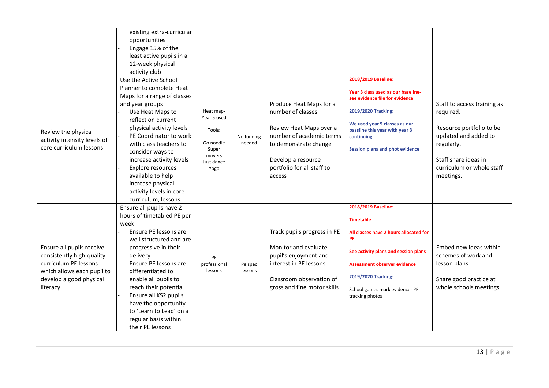|                                                                                                                                                      | existing extra-curricular<br>opportunities<br>Engage 15% of the<br>least active pupils in a<br>12-week physical<br>activity club                                                                                                                                                                                                                                                               |                                                                                          |                      |                                                                                                                                                                                            |                                                                                                                                                                                                                                                    |                                                                                                                                                                              |
|------------------------------------------------------------------------------------------------------------------------------------------------------|------------------------------------------------------------------------------------------------------------------------------------------------------------------------------------------------------------------------------------------------------------------------------------------------------------------------------------------------------------------------------------------------|------------------------------------------------------------------------------------------|----------------------|--------------------------------------------------------------------------------------------------------------------------------------------------------------------------------------------|----------------------------------------------------------------------------------------------------------------------------------------------------------------------------------------------------------------------------------------------------|------------------------------------------------------------------------------------------------------------------------------------------------------------------------------|
| Review the physical<br>activity intensity levels of<br>core curriculum lessons                                                                       | Use the Active School<br>Planner to complete Heat<br>Maps for a range of classes<br>and year groups<br>Use Heat Maps to<br>reflect on current<br>physical activity levels<br>PE Coordinator to work<br>with class teachers to<br>consider ways to<br>increase activity levels<br>Explore resources<br>available to help<br>increase physical<br>activity levels in core<br>curriculum, lessons | Heat map-<br>Year 5 used<br>Tools:<br>Go noodle<br>Super<br>movers<br>Just dance<br>Yoga | No funding<br>needed | Produce Heat Maps for a<br>number of classes<br>Review Heat Maps over a<br>number of academic terms<br>to demonstrate change<br>Develop a resource<br>portfolio for all staff to<br>access | 2018/2019 Baseline:<br>Year 3 class used as our baseline-<br>see evidence file for evidence<br>2019/2020 Tracking:<br>We used year 5 classes as our<br>bassline this year with year 3<br>continuing<br><b>Session plans and phot evidence</b>      | Staff to access training as<br>required.<br>Resource portfolio to be<br>updated and added to<br>regularly.<br>Staff share ideas in<br>curriculum or whole staff<br>meetings. |
| Ensure all pupils receive<br>consistently high-quality<br>curriculum PE lessons<br>which allows each pupil to<br>develop a good physical<br>literacy | Ensure all pupils have 2<br>hours of timetabled PE per<br>week<br>Ensure PE lessons are<br>well structured and are<br>progressive in their<br>delivery<br>Ensure PE lessons are<br>differentiated to<br>enable all pupils to<br>reach their potential<br>Ensure all KS2 pupils<br>have the opportunity<br>to 'Learn to Lead' on a<br>regular basis within<br>their PE lessons                  | PE<br>professional<br>lessons                                                            | Pe spec<br>lessons   | Track pupils progress in PE<br>Monitor and evaluate<br>pupil's enjoyment and<br>interest in PE lessons<br>Classroom observation of<br>gross and fine motor skills                          | 2018/2019 Baseline:<br><b>Timetable</b><br>All classes have 2 hours allocated for<br><b>PE</b><br>See activity plans and session plans<br>Assessment observer evidence<br>2019/2020 Tracking:<br>School games mark evidence- PE<br>tracking photos | Embed new ideas within<br>schemes of work and<br>lesson plans<br>Share good practice at<br>whole schools meetings                                                            |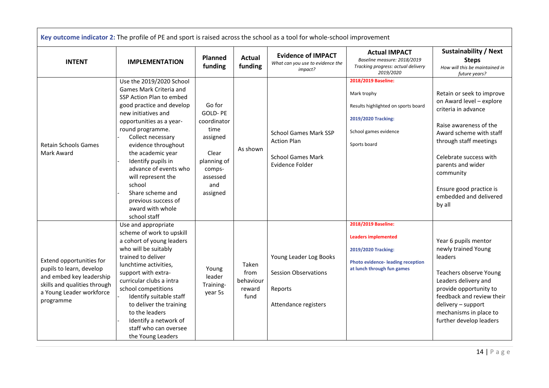|                                                                                                                                                           | Key outcome indicator 2: The profile of PE and sport is raised across the school as a tool for whole-school improvement                                                                                                                                                                                                                                                                                            |                                                                                                                              |                                              |                                                                                                   |                                                                                                                                                   |                                                                                                                                                                                                                                                                                        |
|-----------------------------------------------------------------------------------------------------------------------------------------------------------|--------------------------------------------------------------------------------------------------------------------------------------------------------------------------------------------------------------------------------------------------------------------------------------------------------------------------------------------------------------------------------------------------------------------|------------------------------------------------------------------------------------------------------------------------------|----------------------------------------------|---------------------------------------------------------------------------------------------------|---------------------------------------------------------------------------------------------------------------------------------------------------|----------------------------------------------------------------------------------------------------------------------------------------------------------------------------------------------------------------------------------------------------------------------------------------|
| <b>INTENT</b>                                                                                                                                             | <b>IMPLEMENTATION</b>                                                                                                                                                                                                                                                                                                                                                                                              | <b>Planned</b><br>funding                                                                                                    | <b>Actual</b><br>funding                     | <b>Evidence of IMPACT</b><br>What can you use to evidence the<br>impact?                          | <b>Actual IMPACT</b><br>Baseline measure: 2018/2019<br>Tracking progress: actual delivery<br>2019/2020                                            | <b>Sustainability / Next</b><br><b>Steps</b><br>How will this be maintained in<br>future years?                                                                                                                                                                                        |
| <b>Retain Schools Games</b><br>Mark Award                                                                                                                 | Use the 2019/2020 School<br>Games Mark Criteria and<br>SSP Action Plan to embed<br>good practice and develop<br>new initiatives and<br>opportunities as a year-<br>round programme.<br>Collect necessary<br>evidence throughout<br>the academic year<br>Identify pupils in<br>advance of events who<br>will represent the<br>school<br>Share scheme and<br>previous success of<br>award with whole<br>school staff | Go for<br><b>GOLD-PE</b><br>coordinator<br>time<br>assigned<br>Clear<br>planning of<br>comps-<br>assessed<br>and<br>assigned | As shown                                     | <b>School Games Mark SSP</b><br><b>Action Plan</b><br><b>School Games Mark</b><br>Evidence Folder | 2018/2019 Baseline:<br>Mark trophy<br>Results highlighted on sports board<br>2019/2020 Tracking:<br>School games evidence<br>Sports board         | Retain or seek to improve<br>on Award level - explore<br>criteria in advance<br>Raise awareness of the<br>Award scheme with staff<br>through staff meetings<br>Celebrate success with<br>parents and wider<br>community<br>Ensure good practice is<br>embedded and delivered<br>by all |
| Extend opportunities for<br>pupils to learn, develop<br>and embed key leadership<br>skills and qualities through<br>a Young Leader workforce<br>programme | Use and appropriate<br>scheme of work to upskill<br>a cohort of young leaders<br>who will be suitably<br>trained to deliver<br>lunchtime activities,<br>support with extra-<br>curricular clubs a intra<br>school competitions<br>Identify suitable staff<br>to deliver the training<br>to the leaders<br>Identify a network of<br>staff who can oversee<br>the Young Leaders                                      | Young<br>leader<br>Training-<br>year 5s                                                                                      | Taken<br>from<br>behaviour<br>reward<br>fund | Young Leader Log Books<br><b>Session Observations</b><br>Reports<br>Attendance registers          | 2018/2019 Baseline:<br><b>Leaders implemented</b><br>2019/2020 Tracking:<br><b>Photo evidence-leading reception</b><br>at lunch through fun games | Year 6 pupils mentor<br>newly trained Young<br>leaders<br>Teachers observe Young<br>Leaders delivery and<br>provide opportunity to<br>feedback and review their<br>delivery - support<br>mechanisms in place to<br>further develop leaders                                             |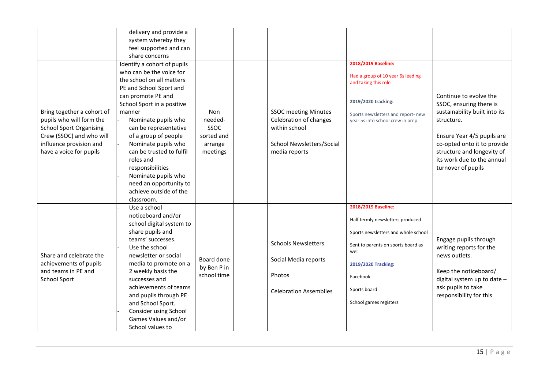|                                | delivery and provide a      |             |                               |                                                                        |                               |
|--------------------------------|-----------------------------|-------------|-------------------------------|------------------------------------------------------------------------|-------------------------------|
|                                | system whereby they         |             |                               |                                                                        |                               |
|                                | feel supported and can      |             |                               |                                                                        |                               |
|                                | share concerns              |             |                               |                                                                        |                               |
|                                | Identify a cohort of pupils |             |                               | 2018/2019 Baseline:                                                    |                               |
|                                | who can be the voice for    |             |                               |                                                                        |                               |
|                                | the school on all matters   |             |                               | Had a group of 10 year 6s leading                                      |                               |
|                                | PE and School Sport and     |             |                               | and taking this role                                                   |                               |
|                                | can promote PE and          |             |                               |                                                                        | Continue to evolve the        |
|                                | School Sport in a positive  |             |                               | 2019/2020 tracking:                                                    | SSOC, ensuring there is       |
| Bring together a cohort of     | manner                      | Non         | <b>SSOC</b> meeting Minutes   |                                                                        | sustainability built into its |
| pupils who will form the       | Nominate pupils who         | needed-     | Celebration of changes        | Sports newsletters and report- new<br>year 5s into school crew in prep | structure.                    |
| <b>School Sport Organising</b> | can be representative       | SSOC        | within school                 |                                                                        |                               |
| Crew (SSOC) and who will       | of a group of people        | sorted and  |                               |                                                                        | Ensure Year 4/5 pupils are    |
| influence provision and        | Nominate pupils who         |             | School Newsletters/Social     |                                                                        | co-opted onto it to provide   |
|                                |                             | arrange     |                               |                                                                        |                               |
| have a voice for pupils        | can be trusted to fulfil    | meetings    | media reports                 |                                                                        | structure and longevity of    |
|                                | roles and                   |             |                               |                                                                        | its work due to the annual    |
|                                | responsibilities            |             |                               |                                                                        | turnover of pupils            |
|                                | Nominate pupils who         |             |                               |                                                                        |                               |
|                                | need an opportunity to      |             |                               |                                                                        |                               |
|                                | achieve outside of the      |             |                               |                                                                        |                               |
|                                | classroom.                  |             |                               |                                                                        |                               |
|                                | Use a school                |             |                               | 2018/2019 Baseline:                                                    |                               |
|                                | noticeboard and/or          |             |                               | Half termly newsletters produced                                       |                               |
|                                | school digital system to    |             |                               |                                                                        |                               |
|                                | share pupils and            |             |                               | Sports newsletters and whole school                                    |                               |
|                                | teams' successes.           |             | <b>Schools Newsletters</b>    | Sent to parents on sports board as                                     | Engage pupils through         |
|                                | Use the school              |             |                               | well                                                                   | writing reports for the       |
| Share and celebrate the        | newsletter or social        | Board done  | Social Media reports          |                                                                        | news outlets.                 |
| achievements of pupils         | media to promote on a       | by Ben P in |                               | 2019/2020 Tracking:                                                    |                               |
| and teams in PE and            | 2 weekly basis the          | school time | Photos                        |                                                                        | Keep the noticeboard/         |
| <b>School Sport</b>            | successes and               |             |                               | Facebook                                                               | digital system up to date -   |
|                                | achievements of teams       |             | <b>Celebration Assemblies</b> | Sports board                                                           | ask pupils to take            |
|                                | and pupils through PE       |             |                               |                                                                        | responsibility for this       |
|                                | and School Sport.           |             |                               | School games registers                                                 |                               |
|                                | Consider using School       |             |                               |                                                                        |                               |
|                                | Games Values and/or         |             |                               |                                                                        |                               |
|                                | School values to            |             |                               |                                                                        |                               |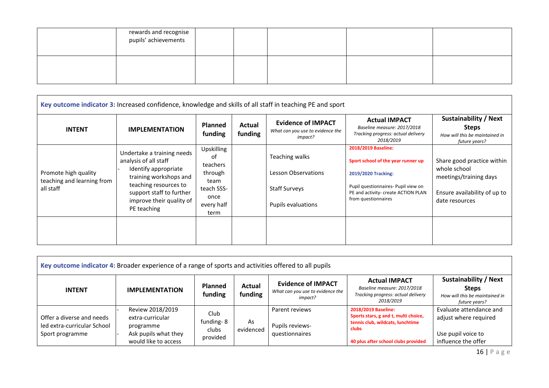| rewards and recognise<br>pupils' achievements |  |  |  |
|-----------------------------------------------|--|--|--|
|                                               |  |  |  |

| Key outcome indicator 3: Increased confidence, knowledge and skills of all staff in teaching PE and sport |                                                                                                                                                                                                       |                                                                                             |                   |                                                                                     |                                                                                                                                                                                       |                                                                                                                        |  |  |  |  |
|-----------------------------------------------------------------------------------------------------------|-------------------------------------------------------------------------------------------------------------------------------------------------------------------------------------------------------|---------------------------------------------------------------------------------------------|-------------------|-------------------------------------------------------------------------------------|---------------------------------------------------------------------------------------------------------------------------------------------------------------------------------------|------------------------------------------------------------------------------------------------------------------------|--|--|--|--|
| <b>INTENT</b>                                                                                             | <b>IMPLEMENTATION</b>                                                                                                                                                                                 | <b>Planned</b><br>funding                                                                   | Actual<br>funding | <b>Evidence of IMPACT</b><br>What can you use to evidence the<br>impact?            | <b>Actual IMPACT</b><br>Baseline measure: 2017/2018<br>Tracking progress: actual delivery<br>2018/2019                                                                                | Sustainability / Next<br><b>Steps</b><br>How will this be maintained in<br>future years?                               |  |  |  |  |
| Promote high quality<br>teaching and learning from<br>all staff                                           | Undertake a training needs<br>analysis of all staff<br>Identify appropriate<br>training workshops and<br>teaching resources to<br>support staff to further<br>improve their quality of<br>PE teaching | Upskilling<br>of<br>teachers<br>through<br>team<br>teach SSS-<br>once<br>every half<br>term |                   | Teaching walks<br>Lesson Observations<br><b>Staff Surveys</b><br>Pupils evaluations | 2018/2019 Baseline:<br>Sport school of the year runner up<br>2019/2020 Tracking:<br>Pupil questionnaires- Pupil view on<br>PE and activity- create ACTION PLAN<br>from questionnaires | Share good practice within<br>whole school<br>meetings/training days<br>Ensure availability of up to<br>date resources |  |  |  |  |
|                                                                                                           |                                                                                                                                                                                                       |                                                                                             |                   |                                                                                     |                                                                                                                                                                                       |                                                                                                                        |  |  |  |  |

| Key outcome indicator 4: Broader experience of a range of sports and activities offered to all pupils |                                                                                                   |                                        |                   |                                                                          |                                                                                                                                                 |                                                                                                 |  |  |  |  |
|-------------------------------------------------------------------------------------------------------|---------------------------------------------------------------------------------------------------|----------------------------------------|-------------------|--------------------------------------------------------------------------|-------------------------------------------------------------------------------------------------------------------------------------------------|-------------------------------------------------------------------------------------------------|--|--|--|--|
| <b>INTENT</b>                                                                                         | <b>IMPLEMENTATION</b>                                                                             | <b>Planned</b><br>funding              | Actual<br>funding | <b>Evidence of IMPACT</b><br>What can you use to evidence the<br>impact? | <b>Actual IMPACT</b><br>Baseline measure: 2017/2018<br>Tracking progress: actual delivery<br>2018/2019                                          | <b>Sustainability / Next</b><br><b>Steps</b><br>How will this be maintained in<br>future years? |  |  |  |  |
| Offer a diverse and needs<br>led extra-curricular School<br>Sport programme                           | Review 2018/2019<br>extra-curricular<br>programme<br>Ask pupils what they<br>would like to access | Club<br>funding-8<br>clubs<br>provided | As<br>evidenced   | Parent reviews<br><b>Pupils reviews-</b><br>questionnaires               | 2018/2019 Baseline:<br>Sports stars, g and t, multi choice,<br>tennis club, wildcats, lunchtime<br>clubs<br>40 plus after school clubs provided | Evaluate attendance and<br>adjust where required<br>Use pupil voice to<br>influence the offer   |  |  |  |  |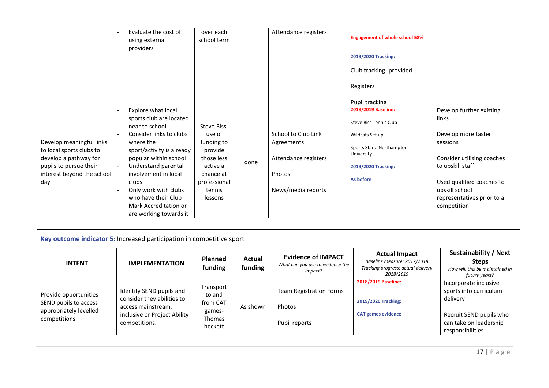|                                                                                                                                              | Evaluate the cost of<br>using external<br>providers                                                                                                                                                                                                                                                                     | over each<br>school term                                                                                                   |      | Attendance registers                                                                      | <b>Engagement of whole school 58%</b><br>2019/2020 Tracking:<br>Club tracking-provided<br>Registers                                                              |                                                                                                                                                                                                                    |
|----------------------------------------------------------------------------------------------------------------------------------------------|-------------------------------------------------------------------------------------------------------------------------------------------------------------------------------------------------------------------------------------------------------------------------------------------------------------------------|----------------------------------------------------------------------------------------------------------------------------|------|-------------------------------------------------------------------------------------------|------------------------------------------------------------------------------------------------------------------------------------------------------------------|--------------------------------------------------------------------------------------------------------------------------------------------------------------------------------------------------------------------|
| Develop meaningful links<br>to local sports clubs to<br>develop a pathway for<br>pupils to pursue their<br>interest beyond the school<br>day | Explore what local<br>sports club are located<br>near to school<br>Consider links to clubs<br>where the<br>sport/activity is already<br>popular within school<br>Understand parental<br>involvement in local<br>clubs<br>Only work with clubs<br>who have their Club<br>Mark Accreditation or<br>are working towards it | Steve Biss-<br>use of<br>funding to<br>provide<br>those less<br>active a<br>chance at<br>professional<br>tennis<br>lessons | done | School to Club Link<br>Agreements<br>Attendance registers<br>Photos<br>News/media reports | Pupil tracking<br>2018/2019 Baseline:<br>Steve Biss Tennis Club<br>Wildcats Set up<br>Sports Stars-Northampton<br>University<br>2019/2020 Tracking:<br>As before | Develop further existing<br>links<br>Develop more taster<br>sessions<br>Consider utilising coaches<br>to upskill staff<br>Used qualified coaches to<br>upskill school<br>representatives prior to a<br>competition |

| Key outcome indicator 5: Increased participation in competitive sport                    |                                                                                                                               |                                                                       |                   |                                                                          |                                                                                                        |                                                                                                                                      |  |  |  |  |  |
|------------------------------------------------------------------------------------------|-------------------------------------------------------------------------------------------------------------------------------|-----------------------------------------------------------------------|-------------------|--------------------------------------------------------------------------|--------------------------------------------------------------------------------------------------------|--------------------------------------------------------------------------------------------------------------------------------------|--|--|--|--|--|
| <b>INTENT</b>                                                                            | <b>IMPLEMENTATION</b>                                                                                                         | <b>Planned</b><br>funding                                             | Actual<br>funding | <b>Evidence of IMPACT</b><br>What can you use to evidence the<br>impact? | <b>Actual Impact</b><br>Baseline measure: 2017/2018<br>Tracking progress: actual delivery<br>2018/2019 | <b>Sustainability / Next</b><br><b>Steps</b><br>How will this be maintained in<br>future years?                                      |  |  |  |  |  |
| Provide opportunities<br>SEND pupils to access<br>appropriately levelled<br>competitions | Identify SEND pupils and<br>consider they abilities to<br>access mainstream,<br>inclusive or Project Ability<br>competitions. | Transport<br>to and<br>from CAT<br>games-<br><b>Thomas</b><br>beckett | As shown          | <b>Team Registration Forms</b><br>Photos<br>Pupil reports                | 2018/2019 Baseline:<br>2019/2020 Tracking:<br><b>CAT games evidence</b>                                | Incorporate inclusive<br>sports into curriculum<br>delivery<br>Recruit SEND pupils who<br>can take on leadership<br>responsibilities |  |  |  |  |  |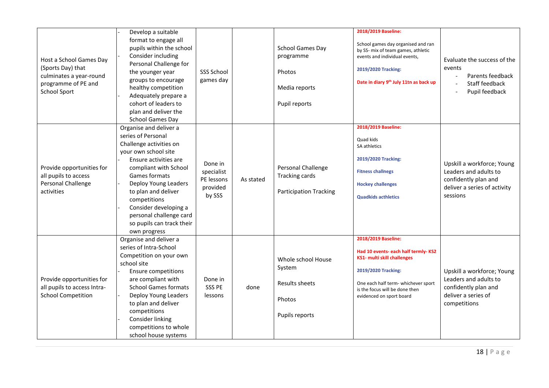| Host a School Games Day<br>(Sports Day) that<br>culminates a year-round<br>programme of PE and<br><b>School Sport</b> | Develop a suitable<br>format to engage all<br>pupils within the school<br>Consider including<br>Personal Challenge for<br>the younger year<br>groups to encourage<br>healthy competition<br>Adequately prepare a<br>cohort of leaders to<br>plan and deliver the<br><b>School Games Day</b>                                        | <b>SSS School</b><br>games day                            |           | <b>School Games Day</b><br>programme<br>Photos<br>Media reports<br>Pupil reports | 2018/2019 Baseline:<br>School games day organised and ran<br>by SS- mix of team games, athletic<br>events and individual events,<br>2019/2020 Tracking:<br>Date in diary 9th July 11tn as back up                            | Evaluate the success of the<br>events<br>Parents feedback<br>Staff feedback<br>Pupil feedback                           |
|-----------------------------------------------------------------------------------------------------------------------|------------------------------------------------------------------------------------------------------------------------------------------------------------------------------------------------------------------------------------------------------------------------------------------------------------------------------------|-----------------------------------------------------------|-----------|----------------------------------------------------------------------------------|------------------------------------------------------------------------------------------------------------------------------------------------------------------------------------------------------------------------------|-------------------------------------------------------------------------------------------------------------------------|
| Provide opportunities for<br>all pupils to access<br>Personal Challenge<br>activities                                 | Organise and deliver a<br>series of Personal<br>Challenge activities on<br>your own school site<br>Ensure activities are<br>compliant with School<br>Games formats<br>Deploy Young Leaders<br>to plan and deliver<br>competitions<br>Consider developing a<br>personal challenge card<br>so pupils can track their<br>own progress | Done in<br>specialist<br>PE lessons<br>provided<br>by SSS | As stated | Personal Challenge<br><b>Tracking cards</b><br><b>Participation Tracking</b>     | 2018/2019 Baseline:<br>Quad kids<br>SA athletics<br>2019/2020 Tracking:<br><b>Fitness challnegs</b><br><b>Hockey challenges</b><br><b>Quadkids acthletics</b>                                                                | Upskill a workforce; Young<br>Leaders and adults to<br>confidently plan and<br>deliver a series of activity<br>sessions |
| Provide opportunities for<br>all pupils to access Intra-<br><b>School Competition</b>                                 | Organise and deliver a<br>series of Intra-School<br>Competition on your own<br>school site<br><b>Ensure competitions</b><br>are compliant with<br><b>School Games formats</b><br>Deploy Young Leaders<br>to plan and deliver<br>competitions<br>Consider linking<br>competitions to whole<br>school house systems                  | Done in<br><b>SSS PE</b><br>lessons                       | done      | Whole school House<br>System<br>Results sheets<br>Photos<br>Pupils reports       | 2018/2019 Baseline:<br>Had 10 events- each half termly-KS2<br><b>KS1- multi skill challenges</b><br>2019/2020 Tracking:<br>One each half term- whichever sport<br>is the focus will be done then<br>evidenced on sport board | Upskill a workforce; Young<br>Leaders and adults to<br>confidently plan and<br>deliver a series of<br>competitions      |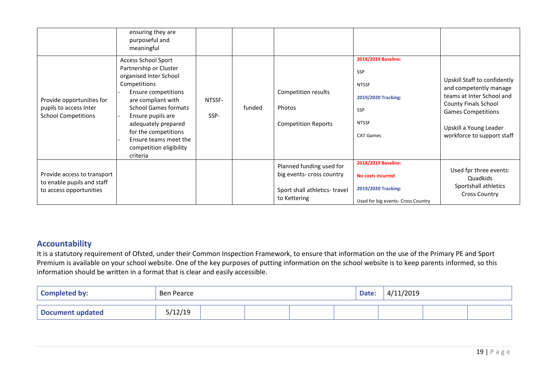|                                                                                      | ensuring they are<br>purposeful and<br>meaningful                                                                                                                                                                                                                                                              |                |        |                                                                                                       |                                                                                                              |                                                                                                                                                                                                  |
|--------------------------------------------------------------------------------------|----------------------------------------------------------------------------------------------------------------------------------------------------------------------------------------------------------------------------------------------------------------------------------------------------------------|----------------|--------|-------------------------------------------------------------------------------------------------------|--------------------------------------------------------------------------------------------------------------|--------------------------------------------------------------------------------------------------------------------------------------------------------------------------------------------------|
| Provide opportunities for<br>pupils to access Inter<br><b>School Competitions</b>    | <b>Access School Sport</b><br>Partnership or Cluster<br>organised Inter School<br>Competitions<br>Ensure competitions<br>are compliant with<br><b>School Games formats</b><br>Ensure pupils are<br>adequately prepared<br>for the competitions<br>Ensure teams meet the<br>competition eligibility<br>criteria | NTSSF-<br>SSP- | funded | Competition results<br>Photos<br><b>Competition Reports</b>                                           | 2018/2019 Baseline:<br>SSP<br><b>NTSSF</b><br>2019/2020 Tracking:<br>SSP<br><b>NTSSF</b><br><b>CAT Games</b> | Upskill Staff to confidently<br>and competently manage<br>teams at Inter School and<br>County Finals School<br><b>Games Competitions</b><br>Upskill a Young Leader<br>workforce to support staff |
| Provide access to transport<br>to enable pupils and staff<br>to access opportunities |                                                                                                                                                                                                                                                                                                                |                |        | Planned funding used for<br>big events- cross country<br>Sport shall athletics-travel<br>to Kettering | 2018/2019 Baseline:<br><b>No costs incurred</b><br>2019/2020 Tracking:<br>Used for big events- Cross Country | Used fpr three events:<br>Quadkids<br>Sportshall athletics<br><b>Cross Country</b>                                                                                                               |

## **Accountability**

It is a statutory requirement of Ofsted, under their Common Inspection Framework, to ensure that information on the use of the Primary PE and Sport Premium is available on your school website. One of the key purposes of putting information on the school website is to keep parents informed, so this information should be written in a format that is clear and easily accessible.

| <b>Completed by:</b>    | Ben Pearce |  |  |  |  |  | 4/11/2019 |  |
|-------------------------|------------|--|--|--|--|--|-----------|--|
| <b>Document updated</b> | 5/12/19    |  |  |  |  |  |           |  |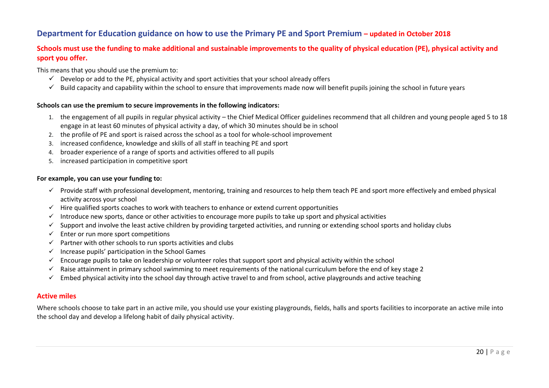## **Department for Education guidance on how to use the Primary PE and Sport Premium – updated in October 2018**

## **Schools must use the funding to make additional and sustainable improvements to the quality of physical education (PE), physical activity and sport you offer.**

This means that you should use the premium to:

- $\checkmark$  Develop or add to the PE, physical activity and sport activities that your school already offers
- $\checkmark$  Build capacity and capability within the school to ensure that improvements made now will benefit pupils joining the school in future years

#### **Schools can use the premium to secure improvements in the following indicators:**

- 1. the engagement of all pupils in regular physical activity the Chief Medical Officer guidelines recommend that all children and young people aged 5 to 18 engage in at least 60 minutes of physical activity a day, of which 30 minutes should be in school
- 2. the profile of PE and sport is raised across the school as a tool for whole-school improvement
- 3. increased confidence, knowledge and skills of all staff in teaching PE and sport
- 4. broader experience of a range of sports and activities offered to all pupils
- 5. increased participation in competitive sport

#### **For example, you can use your funding to:**

- √ Provide staff with professional development, mentoring, training and resources to help them teach PE and sport more effectively and embed physical activity across your school
- $\checkmark$  Hire qualified sports coaches to work with teachers to enhance or extend current opportunities
- Introduce new sports, dance or other activities to encourage more pupils to take up sport and physical activities
- $\checkmark$  Support and involve the least active children by providing targeted activities, and running or extending school sports and holiday clubs
- $\checkmark$  Enter or run more sport competitions
- $\checkmark$  Partner with other schools to run sports activities and clubs
- $\checkmark$  Increase pupils' participation in the School [Games](https://www.gov.uk/government/policies/getting-more-people-playing-sport/supporting-pages/the-school-games)
- $\checkmark$  Encourage pupils to take on leadership or volunteer roles that support sport and physical activity within the school
- $\checkmark$  Raise [attainment](https://www.gov.uk/guidance/pe-and-sport-premium-for-primary-schools#swimming) in primary school swimming to meet requirements of the national curriculum before the end of key stage 2
- $\checkmark$  Embed physical activity into the school day through active travel to and from school, active playgrounds and active teaching

#### **Active miles**

Where schools choose to take part in an active mile, you should use your existing playgrounds, fields, halls and sports facilities to incorporate an active mile into the school day and develop a lifelong habit of daily physical activity.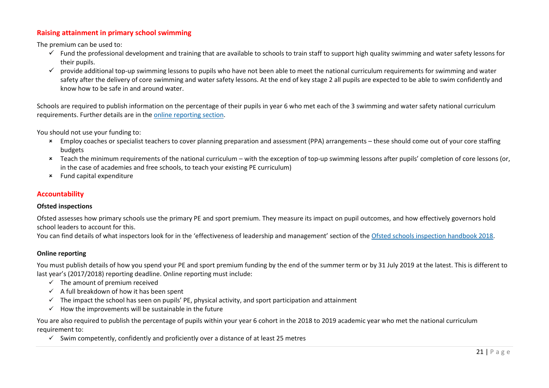## **Raising attainment in primary school swimming**

The premium can be used to:

- $\checkmark$  Fund the professional development and training that are available to schools to train staff to support high quality swimming and water safety lessons for their pupils.
- $\checkmark$  provide additional top-up swimming lessons to pupils who have not been able to meet the national curriculum requirements for swimming and water safety after the delivery of core swimming and water safety lessons. At the end of key stage 2 all pupils are expected to be able to swim confidently and know how to be safe in and around water.

Schools are required to publish information on the percentage of their pupils in year 6 who met each of the 3 swimming and water safety national curriculum requirements. Further details are in the online [reporting](https://www.gov.uk/guidance/pe-and-sport-premium-for-primary-schools#online-reporting) section.

You should not use your funding to:

- Employ coaches or specialist teachers to cover planning preparation and assessment (PPA) arrangements these should come out of your core staffing budgets
- Teach the minimum requirements of the national curriculum with the exception of top-up swimming lessons after pupils' completion of core lessons (or, in the case of academies and free schools, to teach your existing PE curriculum)
- Fund capital expenditure

#### **Accountability**

#### **Ofsted inspections**

Ofsted assesses how primary schools use the primary PE and sport premium. They measure its impact on pupil outcomes, and how effectively governors hold school leaders to account for this.

You can find details of what inspectors look for in the 'effectiveness of leadership and management' section of the Ofsted schools [inspection](https://www.gov.uk/government/publications/school-inspection-handbook-from-september-2015) handbook 2018.

### **Online reporting**

You must publish details of how you spend your PE and sport premium funding by the end of the summer term or by 31 July 2019 at the latest. This is different to last year's (2017/2018) reporting deadline. Online reporting must include:

- $\checkmark$  The amount of premium received
- $\checkmark$  A full breakdown of how it has been spent
- $\checkmark$  The impact the school has seen on pupils' PE, physical activity, and sport participation and attainment
- $\checkmark$  How the improvements will be sustainable in the future

You are also required to publish the percentage of pupils within your year 6 cohort in the 2018 to 2019 academic year who met the national curriculum requirement to:

 $\checkmark$  Swim competently, confidently and proficiently over a distance of at least 25 metres